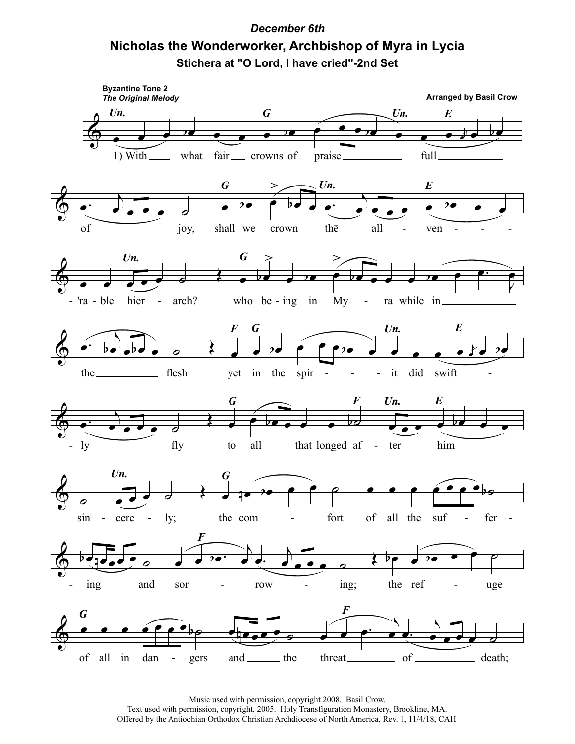## **December 6th** Nicholas the Wonderworker, Archbishop of Myra in Lycia Stichera at "O Lord, I have cried"-2nd Set

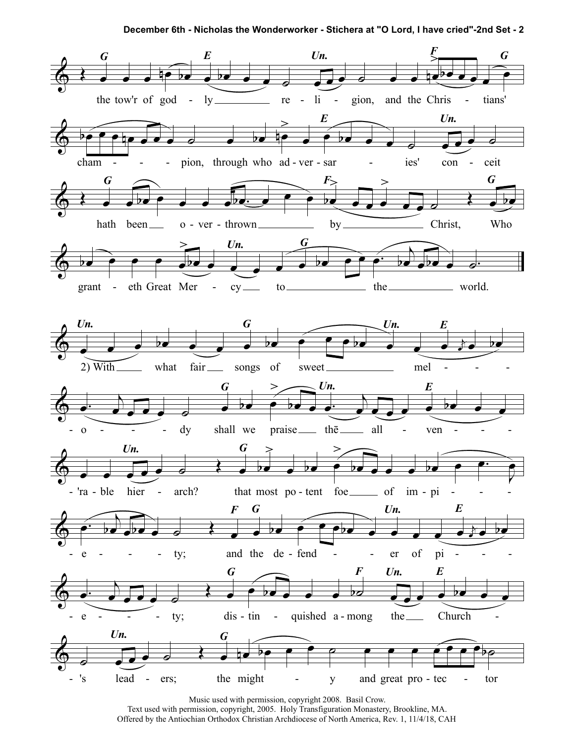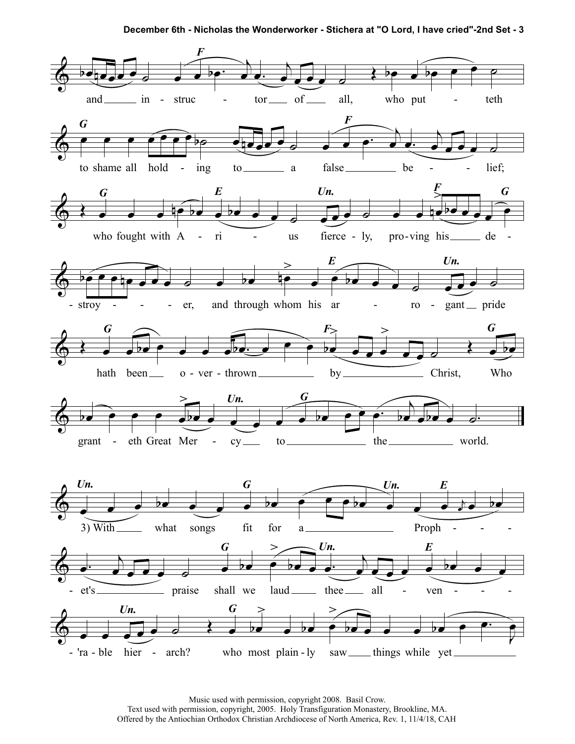December 6th - Nicholas the Wonderworker - Stichera at "O Lord, I have cried"-2nd Set - 3